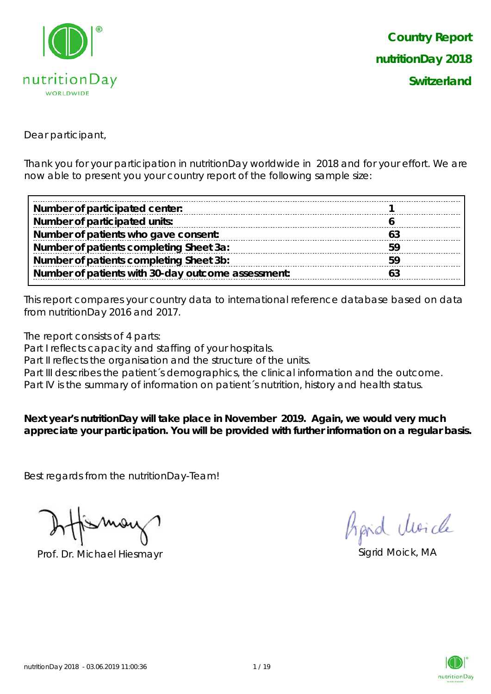

Dear participant,

Thank you for your participation in nutritionDay worldwide in 2018 and for your effort. We are now able to present you your country report of the following sample size:

| Number of participated center:                     |           |
|----------------------------------------------------|-----------|
| Number of participated units:                      |           |
| Number of patients who gave consent:               | <u>Б.</u> |
| Number of patients completing Sheet 3a:            | 59        |
| Number of patients completing Sheet 3b:            |           |
| Number of patients with 30-day outcome assessment: |           |

This report compares your country data to international reference database based on data from nutritionDay 2016 and 2017.

The report consists of 4 parts:

Part I reflects capacity and staffing of your hospitals.

Part II reflects the organisation and the structure of the units.

Part III describes the patient's demographics, the clinical information and the outcome.

Part IV is the summary of information on patient's nutrition, history and health status.

**Next year's nutritionDay will take place in November 2019. Again, we would very much appreciate your participation. You will be provided with further information on a regular basis.**

Best regards from the nutritionDay-Team!

Prof. Dr. Michael Hiesmayr Sigrid Moick, MA

hard Moich

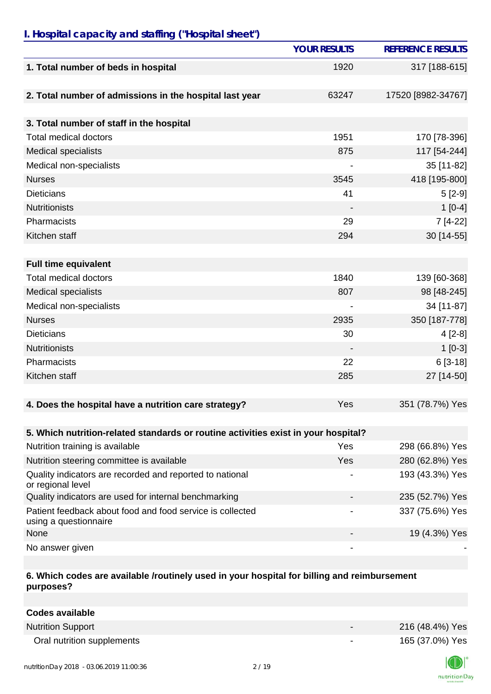### *I. Hospital capacity and staffing ("Hospital sheet")*

|                                                                                    | <b>YOUR RESULTS</b>      | <b>REFERENCE RESULTS</b> |
|------------------------------------------------------------------------------------|--------------------------|--------------------------|
| 1. Total number of beds in hospital                                                | 1920                     | 317 [188-615]            |
| 2. Total number of admissions in the hospital last year                            | 63247                    | 17520 [8982-34767]       |
| 3. Total number of staff in the hospital                                           |                          |                          |
| <b>Total medical doctors</b>                                                       | 1951                     | 170 [78-396]             |
| <b>Medical specialists</b>                                                         | 875                      | 117 [54-244]             |
| Medical non-specialists                                                            |                          | 35 [11-82]               |
| <b>Nurses</b>                                                                      | 3545                     | 418 [195-800]            |
| <b>Dieticians</b>                                                                  | 41                       | $5[2-9]$                 |
| <b>Nutritionists</b>                                                               |                          | $1[0-4]$                 |
| Pharmacists                                                                        | 29                       | 7 [4-22]                 |
| Kitchen staff                                                                      | 294                      | 30 [14-55]               |
| <b>Full time equivalent</b>                                                        |                          |                          |
| <b>Total medical doctors</b>                                                       | 1840                     | 139 [60-368]             |
| <b>Medical specialists</b>                                                         | 807                      | 98 [48-245]              |
| Medical non-specialists                                                            |                          | 34 [11-87]               |
| <b>Nurses</b>                                                                      | 2935                     | 350 [187-778]            |
| <b>Dieticians</b>                                                                  | 30                       | $4[2-8]$                 |
| <b>Nutritionists</b>                                                               |                          | $1[0-3]$                 |
| Pharmacists                                                                        | 22                       | $6[3-18]$                |
| Kitchen staff                                                                      | 285                      | 27 [14-50]               |
| 4. Does the hospital have a nutrition care strategy?                               | Yes                      | 351 (78.7%) Yes          |
|                                                                                    |                          |                          |
| 5. Which nutrition-related standards or routine activities exist in your hospital? |                          |                          |
| Nutrition training is available                                                    | Yes                      | 298 (66.8%) Yes          |
| Nutrition steering committee is available                                          | <b>Yes</b>               | 280 (62.8%) Yes          |
| Quality indicators are recorded and reported to national<br>or regional level      |                          | 193 (43.3%) Yes          |
| Quality indicators are used for internal benchmarking                              |                          | 235 (52.7%) Yes          |
| Patient feedback about food and food service is collected<br>using a questionnaire |                          | 337 (75.6%) Yes          |
| None                                                                               |                          | 19 (4.3%) Yes            |
| No answer given                                                                    | $\overline{\phantom{a}}$ |                          |

#### **6. Which codes are available /routinely used in your hospital for billing and reimbursement purposes?**

| Codes available            |                          |                 |
|----------------------------|--------------------------|-----------------|
| <b>Nutrition Support</b>   | $\overline{\phantom{0}}$ | 216 (48.4%) Yes |
| Oral nutrition supplements | $\overline{\phantom{0}}$ | 165 (37.0%) Yes |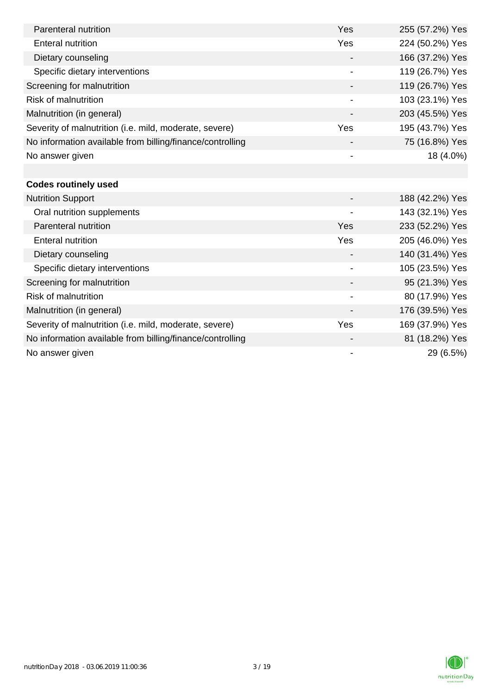| Parenteral nutrition                                      | Yes                      | 255 (57.2%) Yes |
|-----------------------------------------------------------|--------------------------|-----------------|
| <b>Enteral nutrition</b>                                  | Yes                      | 224 (50.2%) Yes |
| Dietary counseling                                        |                          | 166 (37.2%) Yes |
| Specific dietary interventions                            |                          | 119 (26.7%) Yes |
| Screening for malnutrition                                |                          | 119 (26.7%) Yes |
| <b>Risk of malnutrition</b>                               |                          | 103 (23.1%) Yes |
| Malnutrition (in general)                                 | $\overline{\phantom{a}}$ | 203 (45.5%) Yes |
| Severity of malnutrition (i.e. mild, moderate, severe)    | Yes                      | 195 (43.7%) Yes |
| No information available from billing/finance/controlling |                          | 75 (16.8%) Yes  |
| No answer given                                           |                          | 18 (4.0%)       |
|                                                           |                          |                 |
| <b>Codes routinely used</b>                               |                          |                 |
| <b>Nutrition Support</b>                                  |                          | 188 (42.2%) Yes |
| Oral nutrition supplements                                |                          | 143 (32.1%) Yes |
| Parenteral nutrition                                      | Yes                      | 233 (52.2%) Yes |
| <b>Enteral nutrition</b>                                  | Yes                      | 205 (46.0%) Yes |
| Dietary counseling                                        | $\overline{\phantom{a}}$ | 140 (31.4%) Yes |
| Specific dietary interventions                            | $\overline{\phantom{a}}$ | 105 (23.5%) Yes |
| Screening for malnutrition                                |                          | 95 (21.3%) Yes  |
| <b>Risk of malnutrition</b>                               |                          | 80 (17.9%) Yes  |
| Malnutrition (in general)                                 |                          | 176 (39.5%) Yes |
| Severity of malnutrition (i.e. mild, moderate, severe)    | Yes                      | 169 (37.9%) Yes |
| No information available from billing/finance/controlling |                          | 81 (18.2%) Yes  |
| No answer given                                           | $\overline{\phantom{a}}$ | 29 (6.5%)       |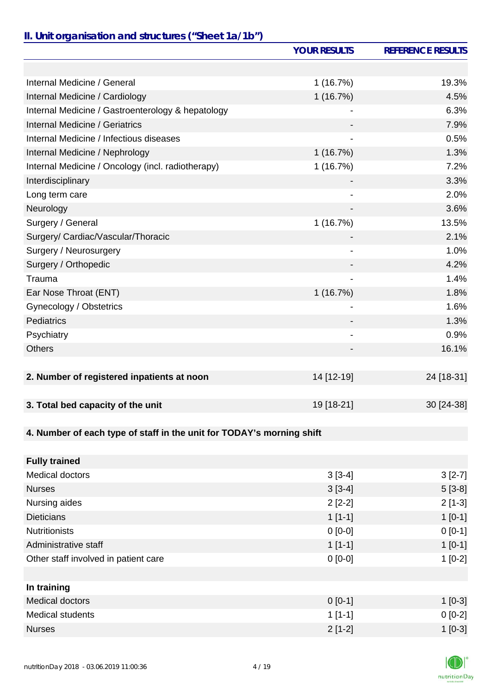# *II. Unit organisation and structures ("Sheet 1a/1b")*

|                                                                       | <b>YOUR RESULTS</b>          | <b>REFERENCE RESULTS</b> |
|-----------------------------------------------------------------------|------------------------------|--------------------------|
|                                                                       |                              |                          |
| Internal Medicine / General                                           | 1(16.7%)                     | 19.3%                    |
| Internal Medicine / Cardiology                                        | 1(16.7%)                     | 4.5%                     |
| Internal Medicine / Gastroenterology & hepatology                     |                              | 6.3%                     |
| Internal Medicine / Geriatrics                                        |                              | 7.9%                     |
| Internal Medicine / Infectious diseases                               | $\qquad \qquad \blacksquare$ | 0.5%                     |
| Internal Medicine / Nephrology                                        | 1(16.7%)                     | 1.3%                     |
| Internal Medicine / Oncology (incl. radiotherapy)                     | 1(16.7%)                     | 7.2%                     |
| Interdisciplinary                                                     |                              | 3.3%                     |
| Long term care                                                        |                              | 2.0%                     |
| Neurology                                                             |                              | 3.6%                     |
| Surgery / General                                                     | 1(16.7%)                     | 13.5%                    |
| Surgery/ Cardiac/Vascular/Thoracic                                    |                              | 2.1%                     |
| Surgery / Neurosurgery                                                | $\overline{\phantom{a}}$     | 1.0%                     |
| Surgery / Orthopedic                                                  |                              | 4.2%                     |
| Trauma                                                                |                              | 1.4%                     |
| Ear Nose Throat (ENT)                                                 | 1(16.7%)                     | 1.8%                     |
| Gynecology / Obstetrics                                               |                              | 1.6%                     |
| Pediatrics                                                            |                              | 1.3%                     |
| Psychiatry                                                            |                              | 0.9%                     |
| <b>Others</b>                                                         |                              | 16.1%                    |
|                                                                       |                              |                          |
| 2. Number of registered inpatients at noon                            | 14 [12-19]                   | 24 [18-31]               |
|                                                                       |                              |                          |
| 3. Total bed capacity of the unit                                     | 19 [18-21]                   | 30 [24-38]               |
|                                                                       |                              |                          |
| 4. Number of each type of staff in the unit for TODAY's morning shift |                              |                          |
|                                                                       |                              |                          |
| <b>Fully trained</b>                                                  |                              |                          |
| <b>Medical doctors</b>                                                | $3[3-4]$                     | $3[2-7]$                 |
| <b>Nurses</b>                                                         | $3[3-4]$                     | $5[3-8]$                 |
| Nursing aides                                                         | $2[2-2]$                     | $2[1-3]$                 |
| <b>Dieticians</b>                                                     | $1[1-1]$                     | $1[0-1]$                 |
| <b>Nutritionists</b>                                                  | $0[0-0]$                     | $0 [0-1]$                |
| Administrative staff                                                  | $1[1-1]$                     | $1[0-1]$                 |
| Other staff involved in patient care                                  | $0[0-0]$                     | $1[0-2]$                 |
|                                                                       |                              |                          |
| In training                                                           |                              |                          |
| <b>Medical doctors</b>                                                | $0[0-1]$                     | $1[0-3]$                 |
| <b>Medical students</b>                                               | $1[1-1]$                     | $0[0-2]$                 |
| <b>Nurses</b>                                                         | $2[1-2]$                     | $1[0-3]$                 |

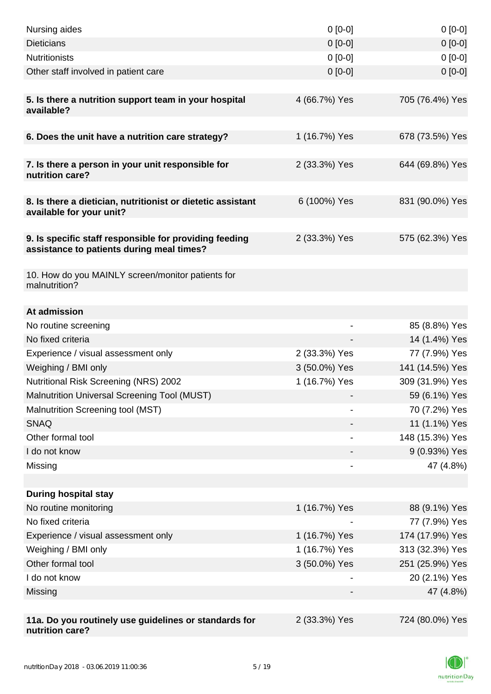| Nursing aides                                                                                       | $0 [0-0]$     | $0[0-0]$        |
|-----------------------------------------------------------------------------------------------------|---------------|-----------------|
| <b>Dieticians</b>                                                                                   | $0[0-0]$      | $0[0-0]$        |
| <b>Nutritionists</b>                                                                                | $0[0-0]$      | $0[0-0]$        |
| Other staff involved in patient care                                                                | $0 [0-0]$     | $0[0-0]$        |
|                                                                                                     |               |                 |
| 5. Is there a nutrition support team in your hospital<br>available?                                 | 4 (66.7%) Yes | 705 (76.4%) Yes |
|                                                                                                     |               |                 |
| 6. Does the unit have a nutrition care strategy?                                                    | 1 (16.7%) Yes | 678 (73.5%) Yes |
| 7. Is there a person in your unit responsible for<br>nutrition care?                                | 2 (33.3%) Yes | 644 (69.8%) Yes |
| 8. Is there a dietician, nutritionist or dietetic assistant<br>available for your unit?             | 6 (100%) Yes  | 831 (90.0%) Yes |
| 9. Is specific staff responsible for providing feeding<br>assistance to patients during meal times? | 2 (33.3%) Yes | 575 (62.3%) Yes |
| 10. How do you MAINLY screen/monitor patients for<br>malnutrition?                                  |               |                 |
| At admission                                                                                        |               |                 |
| No routine screening                                                                                |               | 85 (8.8%) Yes   |
| No fixed criteria                                                                                   |               | 14 (1.4%) Yes   |
| Experience / visual assessment only                                                                 | 2 (33.3%) Yes | 77 (7.9%) Yes   |
| Weighing / BMI only                                                                                 | 3 (50.0%) Yes | 141 (14.5%) Yes |
| Nutritional Risk Screening (NRS) 2002                                                               | 1 (16.7%) Yes | 309 (31.9%) Yes |
| Malnutrition Universal Screening Tool (MUST)                                                        |               | 59 (6.1%) Yes   |
| Malnutrition Screening tool (MST)                                                                   |               | 70 (7.2%) Yes   |
| <b>SNAQ</b>                                                                                         |               | 11 (1.1%) Yes   |
| Other formal tool                                                                                   |               | 148 (15.3%) Yes |
| I do not know                                                                                       |               | 9 (0.93%) Yes   |
| Missing                                                                                             | -             | 47 (4.8%)       |
|                                                                                                     |               |                 |
| <b>During hospital stay</b>                                                                         |               |                 |
| No routine monitoring                                                                               | 1 (16.7%) Yes | 88 (9.1%) Yes   |
| No fixed criteria                                                                                   |               | 77 (7.9%) Yes   |
| Experience / visual assessment only                                                                 | 1 (16.7%) Yes | 174 (17.9%) Yes |
| Weighing / BMI only                                                                                 | 1 (16.7%) Yes | 313 (32.3%) Yes |
| Other formal tool                                                                                   | 3 (50.0%) Yes | 251 (25.9%) Yes |
| I do not know                                                                                       |               | 20 (2.1%) Yes   |
| Missing                                                                                             |               | 47 (4.8%)       |
|                                                                                                     |               |                 |
| 11a. Do you routinely use guidelines or standards for<br>nutrition care?                            | 2 (33.3%) Yes | 724 (80.0%) Yes |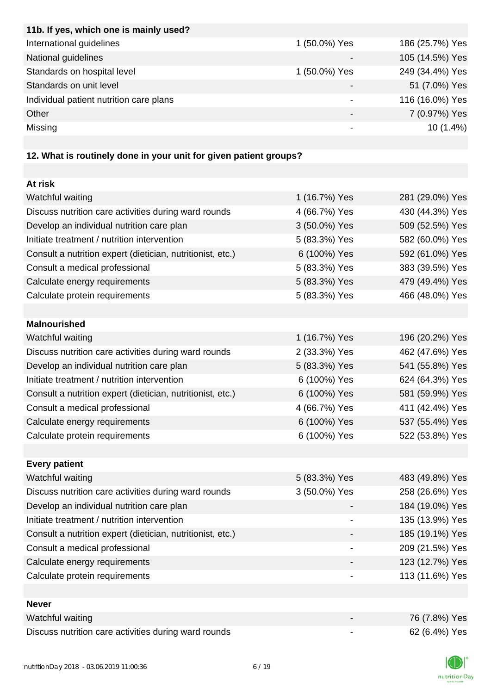| 11b. If yes, which one is mainly used?  |               |                 |
|-----------------------------------------|---------------|-----------------|
| International guidelines                | 1 (50.0%) Yes | 186 (25.7%) Yes |
| National guidelines                     |               | 105 (14.5%) Yes |
| Standards on hospital level             | 1 (50.0%) Yes | 249 (34.4%) Yes |
| Standards on unit level                 |               | 51 (7.0%) Yes   |
| Individual patient nutrition care plans |               | 116 (16.0%) Yes |
| Other                                   | -             | 7 (0.97%) Yes   |
| Missing                                 |               | $10(1.4\%)$     |
|                                         |               |                 |

# **12. What is routinely done in your unit for given patient groups?**

| At risk                                                    |                          |                 |
|------------------------------------------------------------|--------------------------|-----------------|
| Watchful waiting                                           | 1 (16.7%) Yes            | 281 (29.0%) Yes |
| Discuss nutrition care activities during ward rounds       | 4 (66.7%) Yes            | 430 (44.3%) Yes |
| Develop an individual nutrition care plan                  | 3 (50.0%) Yes            | 509 (52.5%) Yes |
| Initiate treatment / nutrition intervention                | 5 (83.3%) Yes            | 582 (60.0%) Yes |
| Consult a nutrition expert (dietician, nutritionist, etc.) | 6 (100%) Yes             | 592 (61.0%) Yes |
| Consult a medical professional                             | 5 (83.3%) Yes            | 383 (39.5%) Yes |
| Calculate energy requirements                              | 5 (83.3%) Yes            | 479 (49.4%) Yes |
| Calculate protein requirements                             | 5 (83.3%) Yes            | 466 (48.0%) Yes |
|                                                            |                          |                 |
| <b>Malnourished</b>                                        |                          |                 |
| Watchful waiting                                           | 1 (16.7%) Yes            | 196 (20.2%) Yes |
| Discuss nutrition care activities during ward rounds       | 2 (33.3%) Yes            | 462 (47.6%) Yes |
| Develop an individual nutrition care plan                  | 5 (83.3%) Yes            | 541 (55.8%) Yes |
| Initiate treatment / nutrition intervention                | 6 (100%) Yes             | 624 (64.3%) Yes |
| Consult a nutrition expert (dietician, nutritionist, etc.) | 6 (100%) Yes             | 581 (59.9%) Yes |
| Consult a medical professional                             | 4 (66.7%) Yes            | 411 (42.4%) Yes |
| Calculate energy requirements                              | 6 (100%) Yes             | 537 (55.4%) Yes |
| Calculate protein requirements                             | 6 (100%) Yes             | 522 (53.8%) Yes |
|                                                            |                          |                 |
| <b>Every patient</b>                                       |                          |                 |
| Watchful waiting                                           | 5 (83.3%) Yes            | 483 (49.8%) Yes |
| Discuss nutrition care activities during ward rounds       | 3 (50.0%) Yes            | 258 (26.6%) Yes |
| Develop an individual nutrition care plan                  |                          | 184 (19.0%) Yes |
| Initiate treatment / nutrition intervention                |                          | 135 (13.9%) Yes |
| Consult a nutrition expert (dietician, nutritionist, etc.) |                          | 185 (19.1%) Yes |
| Consult a medical professional                             |                          | 209 (21.5%) Yes |
| Calculate energy requirements                              |                          | 123 (12.7%) Yes |
| Calculate protein requirements                             |                          | 113 (11.6%) Yes |
|                                                            |                          |                 |
| <b>Never</b>                                               |                          |                 |
| Watchful waiting                                           |                          | 76 (7.8%) Yes   |
| Discuss nutrition care activities during ward rounds       | $\overline{\phantom{a}}$ | 62 (6.4%) Yes   |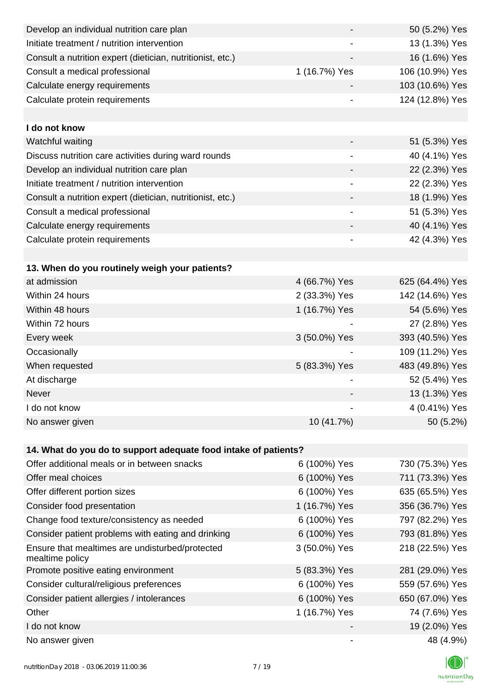| Develop an individual nutrition care plan                          |                              | 50 (5.2%) Yes   |
|--------------------------------------------------------------------|------------------------------|-----------------|
| Initiate treatment / nutrition intervention                        |                              | 13 (1.3%) Yes   |
| Consult a nutrition expert (dietician, nutritionist, etc.)         |                              | 16 (1.6%) Yes   |
| Consult a medical professional                                     | 1 (16.7%) Yes                | 106 (10.9%) Yes |
| Calculate energy requirements                                      |                              | 103 (10.6%) Yes |
| Calculate protein requirements                                     |                              | 124 (12.8%) Yes |
|                                                                    |                              |                 |
| I do not know                                                      |                              |                 |
| Watchful waiting                                                   |                              | 51 (5.3%) Yes   |
| Discuss nutrition care activities during ward rounds               |                              | 40 (4.1%) Yes   |
| Develop an individual nutrition care plan                          |                              | 22 (2.3%) Yes   |
| Initiate treatment / nutrition intervention                        | $\overline{\phantom{a}}$     | 22 (2.3%) Yes   |
| Consult a nutrition expert (dietician, nutritionist, etc.)         |                              | 18 (1.9%) Yes   |
| Consult a medical professional                                     |                              | 51 (5.3%) Yes   |
| Calculate energy requirements                                      |                              | 40 (4.1%) Yes   |
| Calculate protein requirements                                     | $\qquad \qquad \blacksquare$ | 42 (4.3%) Yes   |
|                                                                    |                              |                 |
| 13. When do you routinely weigh your patients?                     |                              |                 |
| at admission                                                       | 4 (66.7%) Yes                | 625 (64.4%) Yes |
| Within 24 hours                                                    | 2 (33.3%) Yes                | 142 (14.6%) Yes |
| Within 48 hours                                                    | 1 (16.7%) Yes                | 54 (5.6%) Yes   |
| Within 72 hours                                                    |                              | 27 (2.8%) Yes   |
| Every week                                                         | 3 (50.0%) Yes                | 393 (40.5%) Yes |
| Occasionally                                                       |                              | 109 (11.2%) Yes |
| When requested                                                     | 5 (83.3%) Yes                | 483 (49.8%) Yes |
| At discharge                                                       |                              | 52 (5.4%) Yes   |
| Never                                                              |                              | 13 (1.3%) Yes   |
| I do not know                                                      |                              | 4 (0.41%) Yes   |
| No answer given                                                    | 10 (41.7%)                   | 50 (5.2%)       |
|                                                                    |                              |                 |
| 14. What do you do to support adequate food intake of patients?    |                              |                 |
| Offer additional meals or in between snacks                        | 6 (100%) Yes                 | 730 (75.3%) Yes |
| Offer meal choices                                                 | 6 (100%) Yes                 | 711 (73.3%) Yes |
| Offer different portion sizes                                      | 6 (100%) Yes                 | 635 (65.5%) Yes |
| Consider food presentation                                         | 1 (16.7%) Yes                | 356 (36.7%) Yes |
| Change food texture/consistency as needed                          | 6 (100%) Yes                 | 797 (82.2%) Yes |
| Consider patient problems with eating and drinking                 | 6 (100%) Yes                 | 793 (81.8%) Yes |
| Ensure that mealtimes are undisturbed/protected<br>mealtime policy | 3 (50.0%) Yes                | 218 (22.5%) Yes |
| Promote positive eating environment                                | 5 (83.3%) Yes                | 281 (29.0%) Yes |
| Consider cultural/religious preferences                            | 6 (100%) Yes                 | 559 (57.6%) Yes |
| Consider patient allergies / intolerances                          | 6 (100%) Yes                 | 650 (67.0%) Yes |
| Other                                                              | 1 (16.7%) Yes                | 74 (7.6%) Yes   |
| I do not know                                                      |                              | 19 (2.0%) Yes   |
| No answer given                                                    |                              | 48 (4.9%)       |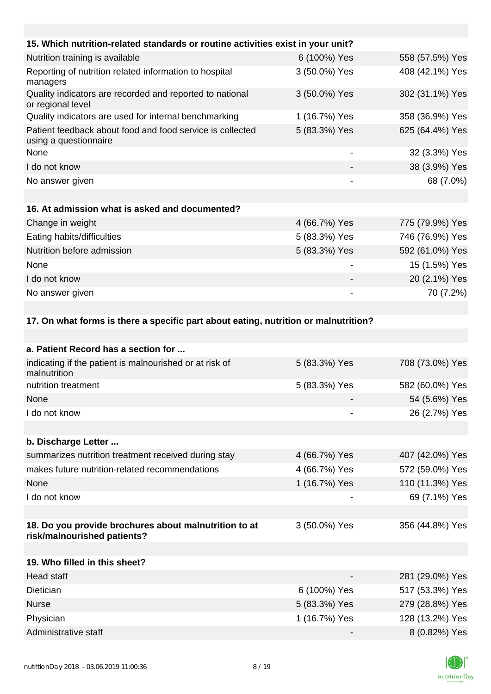| 6 (100%) Yes             | 558 (57.5%) Yes                                                                                                                                                        |
|--------------------------|------------------------------------------------------------------------------------------------------------------------------------------------------------------------|
| 3 (50.0%) Yes            | 408 (42.1%) Yes                                                                                                                                                        |
| 3 (50.0%) Yes            | 302 (31.1%) Yes                                                                                                                                                        |
| 1 (16.7%) Yes            | 358 (36.9%) Yes                                                                                                                                                        |
| 5 (83.3%) Yes            | 625 (64.4%) Yes                                                                                                                                                        |
| $\overline{\phantom{a}}$ | 32 (3.3%) Yes                                                                                                                                                          |
|                          | 38 (3.9%) Yes                                                                                                                                                          |
|                          | 68 (7.0%)                                                                                                                                                              |
|                          |                                                                                                                                                                        |
|                          |                                                                                                                                                                        |
| 4 (66.7%) Yes            | 775 (79.9%) Yes                                                                                                                                                        |
| 5 (83.3%) Yes            | 746 (76.9%) Yes                                                                                                                                                        |
| 5 (83.3%) Yes            | 592 (61.0%) Yes                                                                                                                                                        |
|                          | 15 (1.5%) Yes                                                                                                                                                          |
|                          | 20 (2.1%) Yes                                                                                                                                                          |
|                          | 70 (7.2%)                                                                                                                                                              |
|                          |                                                                                                                                                                        |
|                          |                                                                                                                                                                        |
|                          |                                                                                                                                                                        |
|                          |                                                                                                                                                                        |
| 5 (83.3%) Yes            | 708 (73.0%) Yes                                                                                                                                                        |
| 5 (83.3%) Yes            | 582 (60.0%) Yes                                                                                                                                                        |
|                          | 54 (5.6%) Yes                                                                                                                                                          |
|                          | 26 (2.7%) Yes                                                                                                                                                          |
|                          |                                                                                                                                                                        |
|                          | 15. Which nutrition-related standards or routine activities exist in your unit?<br>17. On what forms is there a specific part about eating, nutrition or malnutrition? |

**b. Discharge Letter ...**

| summarizes nutrition treatment received during stay | 4 (66.7%) Yes | 407 (42.0%) Yes |
|-----------------------------------------------------|---------------|-----------------|
| makes future nutrition-related recommendations      | 4 (66.7%) Yes | 572 (59.0%) Yes |
| <b>None</b>                                         | 1 (16.7%) Yes | 110 (11.3%) Yes |
| I do not know                                       |               | 69 (7.1%) Yes   |
|                                                     |               |                 |

#### **18. Do you provide brochures about malnutrition to at risk/malnourished patients?** 3 (50.0%) Yes 356 (44.8%) Yes

| 19. Who filled in this sheet? |               |                 |
|-------------------------------|---------------|-----------------|
| Head staff                    |               | 281 (29.0%) Yes |
| <b>Dietician</b>              | 6 (100%) Yes  | 517 (53.3%) Yes |
| <b>Nurse</b>                  | 5 (83.3%) Yes | 279 (28.8%) Yes |
| Physician                     | 1 (16.7%) Yes | 128 (13.2%) Yes |
| Administrative staff          |               | 8 (0.82%) Yes   |

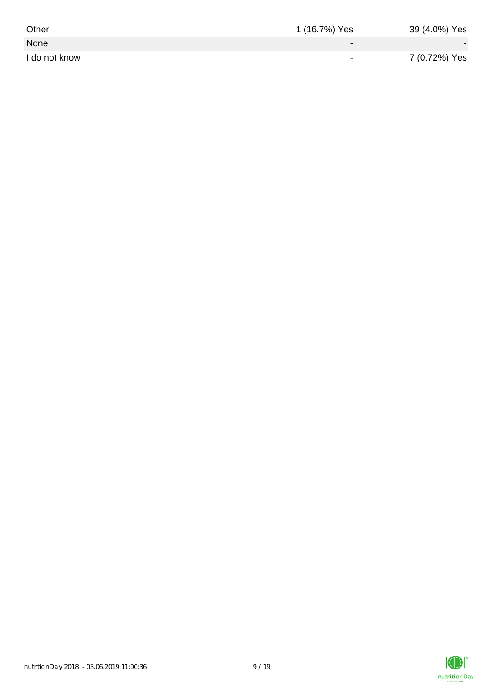| Other         | 1 (16.7%) Yes            | 39 (4.0%) Yes |
|---------------|--------------------------|---------------|
| None          | $\overline{\phantom{0}}$ |               |
| I do not know | $\overline{\phantom{0}}$ | 7 (0.72%) Yes |

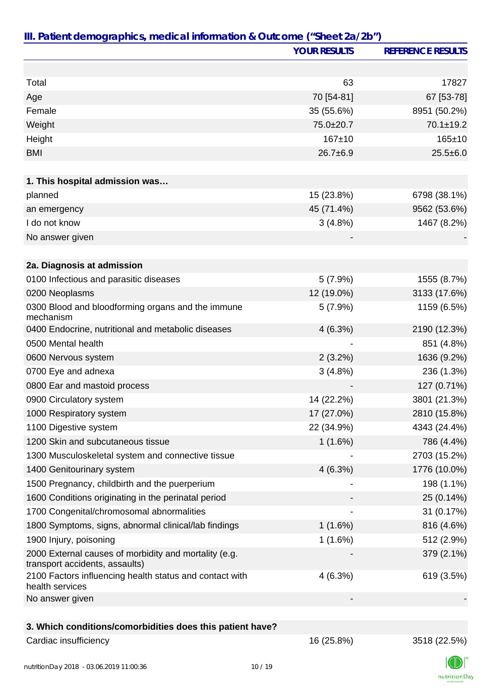|                                                                                         | <b>YOUR RESULTS</b> | <b>REFERENCE RESULTS</b> |
|-----------------------------------------------------------------------------------------|---------------------|--------------------------|
|                                                                                         |                     |                          |
| Total                                                                                   | 63                  | 17827                    |
| Age                                                                                     | 70 [54-81]          | 67 [53-78]               |
| Female                                                                                  | 35 (55.6%)          | 8951 (50.2%)             |
| Weight                                                                                  | 75.0±20.7           | $70.1 \pm 19.2$          |
| Height                                                                                  | $167 + 10$          | 165±10                   |
| <b>BMI</b>                                                                              | $26.7 \pm 6.9$      | $25.5 \pm 6.0$           |
|                                                                                         |                     |                          |
| 1. This hospital admission was                                                          |                     |                          |
| planned                                                                                 | 15 (23.8%)          | 6798 (38.1%)             |
| an emergency                                                                            | 45 (71.4%)          | 9562 (53.6%)             |
| I do not know                                                                           | 3(4.8%)             | 1467 (8.2%)              |
| No answer given                                                                         |                     |                          |
|                                                                                         |                     |                          |
| 2a. Diagnosis at admission                                                              |                     |                          |
| 0100 Infectious and parasitic diseases                                                  | 5(7.9%)             | 1555 (8.7%)              |
| 0200 Neoplasms                                                                          | 12 (19.0%)          | 3133 (17.6%)             |
| 0300 Blood and bloodforming organs and the immune<br>mechanism                          | 5(7.9%)             | 1159 (6.5%)              |
| 0400 Endocrine, nutritional and metabolic diseases                                      | 4(6.3%)             | 2190 (12.3%)             |
| 0500 Mental health                                                                      |                     | 851 (4.8%)               |
| 0600 Nervous system                                                                     | $2(3.2\%)$          | 1636 (9.2%)              |
| 0700 Eye and adnexa                                                                     | 3(4.8%)             | 236 (1.3%)               |
| 0800 Ear and mastoid process                                                            |                     | 127 (0.71%)              |
| 0900 Circulatory system                                                                 | 14 (22.2%)          | 3801 (21.3%)             |
| 1000 Respiratory system                                                                 | 17 (27.0%)          | 2810 (15.8%)             |
| 1100 Digestive system                                                                   | 22 (34.9%)          | 4343 (24.4%)             |
| 1200 Skin and subcutaneous tissue                                                       | 1(1.6%)             | 786 (4.4%)               |
| 1300 Musculoskeletal system and connective tissue                                       |                     | 2703 (15.2%)             |
| 1400 Genitourinary system                                                               | 4(6.3%)             | 1776 (10.0%)             |
| 1500 Pregnancy, childbirth and the puerperium                                           |                     | 198 (1.1%)               |
| 1600 Conditions originating in the perinatal period                                     |                     | 25 (0.14%)               |
| 1700 Congenital/chromosomal abnormalities                                               |                     | 31 (0.17%)               |
| 1800 Symptoms, signs, abnormal clinical/lab findings                                    | 1(1.6%)             | 816 (4.6%)               |
| 1900 Injury, poisoning                                                                  | 1(1.6%)             | 512 (2.9%)               |
| 2000 External causes of morbidity and mortality (e.g.<br>transport accidents, assaults) |                     | 379 (2.1%)               |
| 2100 Factors influencing health status and contact with<br>health services              | 4(6.3%)             | 619 (3.5%)               |
| No answer given                                                                         |                     |                          |
| 3. Which conditions/comorbidities does this patient have?                               |                     |                          |
| Cardiac insufficiency                                                                   | 16 (25.8%)          | 3518 (22.5%)             |

JL nutritionDay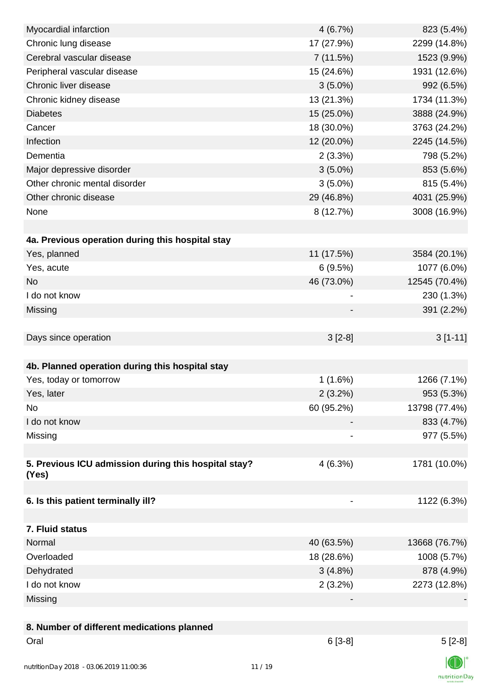| Myocardial infarction                                | 4(6.7%)                  | 823 (5.4%)    |
|------------------------------------------------------|--------------------------|---------------|
| Chronic lung disease                                 | 17 (27.9%)               | 2299 (14.8%)  |
| Cerebral vascular disease                            | 7(11.5%)                 | 1523 (9.9%)   |
| Peripheral vascular disease                          | 15 (24.6%)               | 1931 (12.6%)  |
| Chronic liver disease                                | $3(5.0\%)$               | 992 (6.5%)    |
| Chronic kidney disease                               | 13 (21.3%)               | 1734 (11.3%)  |
| <b>Diabetes</b>                                      | 15 (25.0%)               | 3888 (24.9%)  |
| Cancer                                               | 18 (30.0%)               | 3763 (24.2%)  |
| Infection                                            | 12 (20.0%)               | 2245 (14.5%)  |
| Dementia                                             | 2(3.3%)                  | 798 (5.2%)    |
| Major depressive disorder                            | $3(5.0\%)$               | 853 (5.6%)    |
| Other chronic mental disorder                        | $3(5.0\%)$               | 815 (5.4%)    |
| Other chronic disease                                | 29 (46.8%)               | 4031 (25.9%)  |
| None                                                 | 8 (12.7%)                | 3008 (16.9%)  |
|                                                      |                          |               |
| 4a. Previous operation during this hospital stay     |                          |               |
| Yes, planned                                         | 11 (17.5%)               | 3584 (20.1%)  |
| Yes, acute                                           | 6(9.5%)                  | 1077 (6.0%)   |
| <b>No</b>                                            | 46 (73.0%)               | 12545 (70.4%) |
| I do not know                                        |                          | 230 (1.3%)    |
| Missing                                              |                          | 391 (2.2%)    |
|                                                      |                          |               |
| Days since operation                                 | $3[2-8]$                 | $3[1-11]$     |
|                                                      |                          |               |
| 4b. Planned operation during this hospital stay      |                          |               |
| Yes, today or tomorrow                               | 1(1.6%)                  | 1266 (7.1%)   |
| Yes, later                                           | $2(3.2\%)$               | 953 (5.3%)    |
| No                                                   | 60 (95.2%)               | 13798 (77.4%) |
| I do not know                                        |                          | 833 (4.7%)    |
| Missing                                              | $\overline{\phantom{a}}$ | 977 (5.5%)    |
|                                                      |                          |               |
| 5. Previous ICU admission during this hospital stay? | 4(6.3%)                  | 1781 (10.0%)  |
| (Yes)                                                |                          |               |
| 6. Is this patient terminally ill?                   | $\overline{\phantom{a}}$ | 1122 (6.3%)   |
|                                                      |                          |               |
| 7. Fluid status                                      |                          |               |
| Normal                                               | 40 (63.5%)               | 13668 (76.7%) |
| Overloaded                                           | 18 (28.6%)               | 1008 (5.7%)   |
| Dehydrated                                           | $3(4.8\%)$               | 878 (4.9%)    |
| I do not know                                        | $2(3.2\%)$               | 2273 (12.8%)  |
| Missing                                              |                          |               |
|                                                      |                          |               |
| 8. Number of different medications planned           |                          |               |
| Oral                                                 | $6[3-8]$                 | $5[2-8]$      |
|                                                      |                          | $\sqrt{2}$    |
|                                                      |                          |               |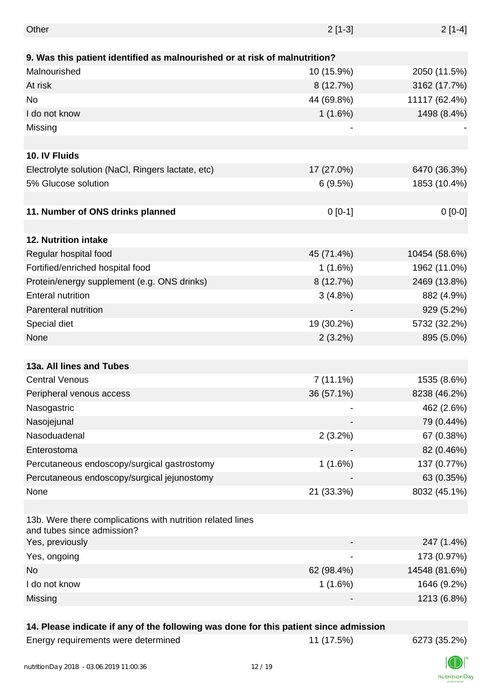| Other                                                                                    | $2[1-3]$    | $2[1-4]$      |
|------------------------------------------------------------------------------------------|-------------|---------------|
|                                                                                          |             |               |
| 9. Was this patient identified as malnourished or at risk of malnutrition?               |             |               |
| Malnourished                                                                             | 10 (15.9%)  | 2050 (11.5%)  |
| At risk                                                                                  | 8 (12.7%)   | 3162 (17.7%)  |
| No                                                                                       | 44 (69.8%)  | 11117 (62.4%) |
| I do not know                                                                            | 1(1.6%)     | 1498 (8.4%)   |
| Missing                                                                                  |             |               |
|                                                                                          |             |               |
| 10. IV Fluids                                                                            |             |               |
| Electrolyte solution (NaCl, Ringers lactate, etc)                                        | 17 (27.0%)  | 6470 (36.3%)  |
| 5% Glucose solution                                                                      | 6(9.5%)     | 1853 (10.4%)  |
|                                                                                          |             |               |
| 11. Number of ONS drinks planned                                                         | $0[0-1]$    | $0[0-0]$      |
|                                                                                          |             |               |
| 12. Nutrition intake                                                                     |             |               |
| Regular hospital food                                                                    | 45 (71.4%)  | 10454 (58.6%) |
| Fortified/enriched hospital food                                                         | 1(1.6%)     | 1962 (11.0%)  |
| Protein/energy supplement (e.g. ONS drinks)                                              | 8 (12.7%)   | 2469 (13.8%)  |
| <b>Enteral nutrition</b>                                                                 | 3(4.8%)     | 882 (4.9%)    |
| Parenteral nutrition                                                                     |             | 929 (5.2%)    |
| Special diet                                                                             | 19 (30.2%)  | 5732 (32.2%)  |
| None                                                                                     | 2(3.2%)     | 895 (5.0%)    |
|                                                                                          |             |               |
| 13a. All lines and Tubes                                                                 |             |               |
| <b>Central Venous</b>                                                                    | $7(11.1\%)$ | 1535 (8.6%)   |
| Peripheral venous access                                                                 | 36 (57.1%)  | 8238 (46.2%)  |
| Nasogastric                                                                              |             | 462 (2.6%)    |
| Nasojejunal                                                                              |             | 79 (0.44%)    |
| Nasoduadenal                                                                             | 2(3.2%)     | 67 (0.38%)    |
| Enterostoma                                                                              |             | 82 (0.46%)    |
| Percutaneous endoscopy/surgical gastrostomy                                              | 1(1.6%)     | 137 (0.77%)   |
| Percutaneous endoscopy/surgical jejunostomy                                              |             | 63 (0.35%)    |
| None                                                                                     | 21 (33.3%)  | 8032 (45.1%)  |
|                                                                                          |             |               |
| 13b. Were there complications with nutrition related lines<br>and tubes since admission? |             |               |
| Yes, previously                                                                          |             | 247 (1.4%)    |
| Yes, ongoing                                                                             |             | 173 (0.97%)   |
| No                                                                                       | 62 (98.4%)  | 14548 (81.6%) |
| I do not know                                                                            | 1(1.6%)     | 1646 (9.2%)   |
| Missing                                                                                  |             | 1213 (6.8%)   |

#### **14. Please indicate if any of the following was done for this patient since admission**

| Energy requirements were determined |
|-------------------------------------|
|-------------------------------------|

Energy requirements were determined 11 (17.5%) 6273 (35.2%)

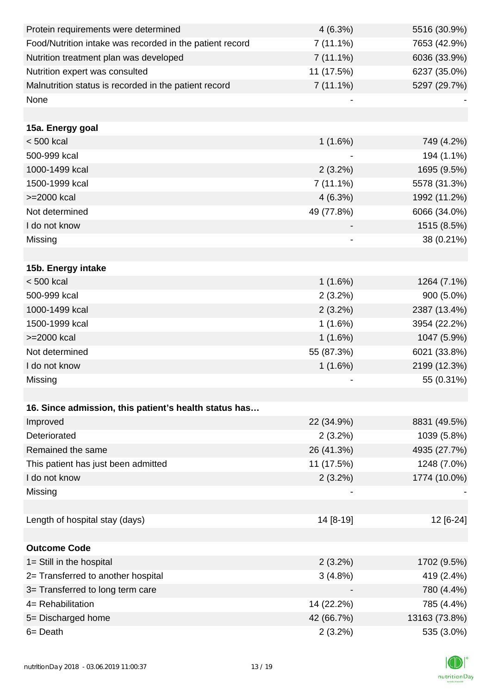| Protein requirements were determined                     | 4(6.3%)     | 5516 (30.9%)  |
|----------------------------------------------------------|-------------|---------------|
| Food/Nutrition intake was recorded in the patient record | $7(11.1\%)$ | 7653 (42.9%)  |
| Nutrition treatment plan was developed                   | $7(11.1\%)$ | 6036 (33.9%)  |
| Nutrition expert was consulted                           | 11 (17.5%)  | 6237 (35.0%)  |
| Malnutrition status is recorded in the patient record    | $7(11.1\%)$ | 5297 (29.7%)  |
| None                                                     |             |               |
|                                                          |             |               |
| 15a. Energy goal                                         |             |               |
| $< 500$ kcal                                             | 1(1.6%)     | 749 (4.2%)    |
| 500-999 kcal                                             |             | 194 (1.1%)    |
| 1000-1499 kcal                                           | $2(3.2\%)$  | 1695 (9.5%)   |
| 1500-1999 kcal                                           | $7(11.1\%)$ | 5578 (31.3%)  |
| >=2000 kcal                                              | 4(6.3%)     | 1992 (11.2%)  |
| Not determined                                           | 49 (77.8%)  | 6066 (34.0%)  |
| I do not know                                            |             | 1515 (8.5%)   |
| Missing                                                  |             | 38 (0.21%)    |
|                                                          |             |               |
| 15b. Energy intake                                       |             |               |
| $< 500$ kcal                                             | 1(1.6%)     | 1264 (7.1%)   |
| 500-999 kcal                                             | 2(3.2%)     | 900 (5.0%)    |
| 1000-1499 kcal                                           | $2(3.2\%)$  | 2387 (13.4%)  |
| 1500-1999 kcal                                           | 1(1.6%)     | 3954 (22.2%)  |
| >=2000 kcal                                              | 1(1.6%)     | 1047 (5.9%)   |
| Not determined                                           | 55 (87.3%)  | 6021 (33.8%)  |
| I do not know                                            | 1(1.6%)     | 2199 (12.3%)  |
| Missing                                                  |             | 55 (0.31%)    |
|                                                          |             |               |
| 16. Since admission, this patient's health status has    |             |               |
| Improved                                                 | 22 (34.9%)  | 8831 (49.5%)  |
| Deteriorated                                             | $2(3.2\%)$  | 1039 (5.8%)   |
| Remained the same                                        | 26 (41.3%)  | 4935 (27.7%)  |
| This patient has just been admitted                      | 11 (17.5%)  | 1248 (7.0%)   |
| I do not know                                            | 2(3.2%)     | 1774 (10.0%)  |
| Missing                                                  |             |               |
|                                                          |             |               |
| Length of hospital stay (days)                           | 14 [8-19]   | 12 [6-24]     |
|                                                          |             |               |
| <b>Outcome Code</b>                                      |             |               |
| 1= Still in the hospital                                 | $2(3.2\%)$  | 1702 (9.5%)   |
| 2= Transferred to another hospital                       | 3(4.8%)     | 419 (2.4%)    |
| 3= Transferred to long term care                         |             | 780 (4.4%)    |
| 4= Rehabilitation                                        | 14 (22.2%)  | 785 (4.4%)    |
| 5= Discharged home                                       | 42 (66.7%)  | 13163 (73.8%) |
| 6= Death                                                 | 2(3.2%)     | 535 (3.0%)    |

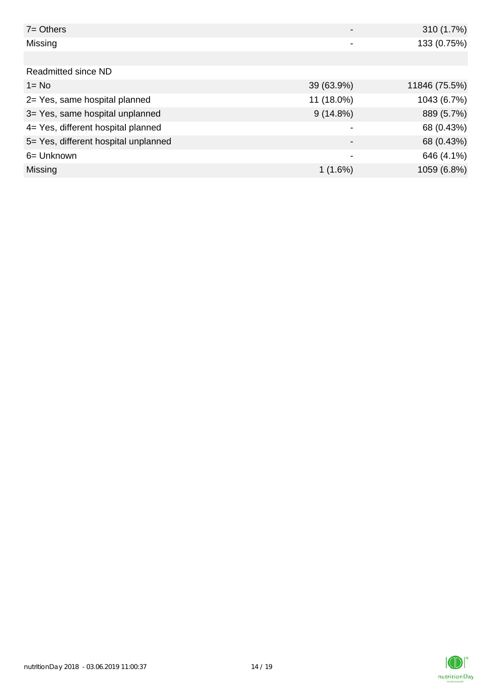| $7 =$ Others                         |                          | 310 (1.7%)    |
|--------------------------------------|--------------------------|---------------|
| Missing                              |                          | 133 (0.75%)   |
|                                      |                          |               |
| Readmitted since ND                  |                          |               |
| $1 = No$                             | 39 (63.9%)               | 11846 (75.5%) |
| 2= Yes, same hospital planned        | 11 (18.0%)               | 1043 (6.7%)   |
| 3= Yes, same hospital unplanned      | $9(14.8\%)$              | 889 (5.7%)    |
| 4= Yes, different hospital planned   |                          | 68 (0.43%)    |
| 5= Yes, different hospital unplanned | $\overline{\phantom{a}}$ | 68 (0.43%)    |
| 6 = Unknown                          | -                        | 646 (4.1%)    |
| Missing                              | 1(1.6%)                  | 1059 (6.8%)   |

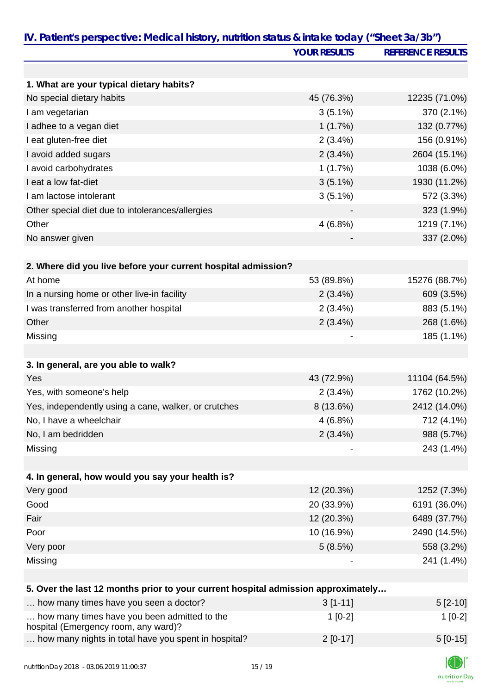|                                                                                      | <b>YOUR RESULTS</b> | <b>REFERENCE RESULTS</b> |
|--------------------------------------------------------------------------------------|---------------------|--------------------------|
|                                                                                      |                     |                          |
| 1. What are your typical dietary habits?                                             |                     |                          |
| No special dietary habits                                                            | 45 (76.3%)          | 12235 (71.0%)            |
| I am vegetarian                                                                      | $3(5.1\%)$          | 370 (2.1%)               |
| I adhee to a vegan diet                                                              | 1(1.7%)             | 132 (0.77%)              |
| I eat gluten-free diet                                                               | $2(3.4\%)$          | 156 (0.91%)              |
| I avoid added sugars                                                                 | 2(3.4%)             | 2604 (15.1%)             |
| I avoid carbohydrates                                                                | 1(1.7%)             | 1038 (6.0%)              |
| I eat a low fat-diet                                                                 | $3(5.1\%)$          | 1930 (11.2%)             |
| I am lactose intolerant                                                              | $3(5.1\%)$          | 572 (3.3%)               |
| Other special diet due to intolerances/allergies                                     |                     | 323 (1.9%)               |
| Other                                                                                | 4(6.8%)             | 1219 (7.1%)              |
| No answer given                                                                      |                     | 337 (2.0%)               |
| 2. Where did you live before your current hospital admission?                        |                     |                          |
| At home                                                                              | 53 (89.8%)          | 15276 (88.7%)            |
| In a nursing home or other live-in facility                                          | 2(3.4%)             | 609 (3.5%)               |
| I was transferred from another hospital                                              | 2(3.4%)             | 883 (5.1%)               |
| Other                                                                                | 2(3.4%)             | 268 (1.6%)               |
| Missing                                                                              |                     | 185 (1.1%)               |
|                                                                                      |                     |                          |
| 3. In general, are you able to walk?                                                 |                     |                          |
| Yes                                                                                  | 43 (72.9%)          | 11104 (64.5%)            |
| Yes, with someone's help                                                             | 2(3.4%)             | 1762 (10.2%)             |
| Yes, independently using a cane, walker, or crutches                                 | $8(13.6\%)$         | 2412 (14.0%)             |
| No, I have a wheelchair                                                              | 4(6.8%)             | 712 (4.1%)               |
| No, I am bedridden                                                                   | 2(3.4%)             | 988 (5.7%)               |
| Missing                                                                              |                     | 243 (1.4%)               |
|                                                                                      |                     |                          |
| 4. In general, how would you say your health is?                                     |                     |                          |
| Very good                                                                            | 12 (20.3%)          | 1252 (7.3%)              |
| Good                                                                                 | 20 (33.9%)          | 6191 (36.0%)             |
| Fair                                                                                 | 12 (20.3%)          | 6489 (37.7%)             |
| Poor                                                                                 | 10 (16.9%)          | 2490 (14.5%)             |
| Very poor                                                                            | 5(8.5%)             | 558 (3.2%)               |
| Missing                                                                              |                     | 241 (1.4%)               |
|                                                                                      |                     |                          |
| 5. Over the last 12 months prior to your current hospital admission approximately    |                     |                          |
| how many times have you seen a doctor?                                               | $3[1-11]$           | $5[2-10]$                |
| how many times have you been admitted to the<br>hospital (Emergency room, any ward)? | $1[0-2]$            | $1[0-2]$                 |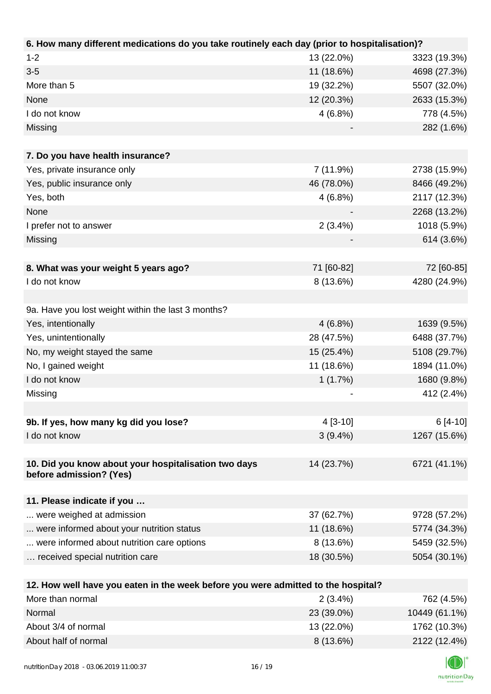| 6. How many different medications do you take routinely each day (prior to hospitalisation)? |            |               |
|----------------------------------------------------------------------------------------------|------------|---------------|
| $1 - 2$                                                                                      | 13 (22.0%) | 3323 (19.3%)  |
| $3 - 5$                                                                                      | 11 (18.6%) | 4698 (27.3%)  |
| More than 5                                                                                  | 19 (32.2%) | 5507 (32.0%)  |
| None                                                                                         | 12 (20.3%) | 2633 (15.3%)  |
| I do not know                                                                                | 4(6.8%)    | 778 (4.5%)    |
| Missing                                                                                      |            | 282 (1.6%)    |
|                                                                                              |            |               |
| 7. Do you have health insurance?                                                             |            |               |
| Yes, private insurance only                                                                  | 7 (11.9%)  | 2738 (15.9%)  |
| Yes, public insurance only                                                                   | 46 (78.0%) | 8466 (49.2%)  |
| Yes, both                                                                                    | 4(6.8%)    | 2117 (12.3%)  |
| None                                                                                         |            | 2268 (13.2%)  |
| I prefer not to answer                                                                       | $2(3.4\%)$ | 1018 (5.9%)   |
| Missing                                                                                      |            | 614 (3.6%)    |
|                                                                                              |            |               |
| 8. What was your weight 5 years ago?                                                         | 71 [60-82] | 72 [60-85]    |
| I do not know                                                                                | 8 (13.6%)  | 4280 (24.9%)  |
|                                                                                              |            |               |
| 9a. Have you lost weight within the last 3 months?                                           |            |               |
| Yes, intentionally                                                                           | $4(6.8\%)$ | 1639 (9.5%)   |
| Yes, unintentionally                                                                         | 28 (47.5%) | 6488 (37.7%)  |
| No, my weight stayed the same                                                                | 15 (25.4%) | 5108 (29.7%)  |
| No, I gained weight                                                                          | 11 (18.6%) | 1894 (11.0%)  |
| I do not know                                                                                | 1(1.7%)    | 1680 (9.8%)   |
| Missing                                                                                      |            | 412 (2.4%)    |
|                                                                                              |            |               |
| 9b. If yes, how many kg did you lose?                                                        | $4[3-10]$  | $6[4-10]$     |
| I do not know                                                                                | $3(9.4\%)$ | 1267 (15.6%)  |
|                                                                                              |            |               |
| 10. Did you know about your hospitalisation two days                                         | 14 (23.7%) | 6721 (41.1%)  |
| before admission? (Yes)                                                                      |            |               |
|                                                                                              |            |               |
| 11. Please indicate if you                                                                   |            |               |
| were weighed at admission                                                                    | 37 (62.7%) | 9728 (57.2%)  |
| were informed about your nutrition status                                                    | 11 (18.6%) | 5774 (34.3%)  |
| were informed about nutrition care options                                                   | 8 (13.6%)  | 5459 (32.5%)  |
| received special nutrition care                                                              | 18 (30.5%) | 5054 (30.1%)  |
|                                                                                              |            |               |
| 12. How well have you eaten in the week before you were admitted to the hospital?            |            |               |
| More than normal                                                                             | 2(3.4%)    | 762 (4.5%)    |
| Normal                                                                                       | 23 (39.0%) | 10449 (61.1%) |

| More than normal     | $2(3.4\%)$  | (62 (4.5%)    |
|----------------------|-------------|---------------|
| Normal               | 23 (39.0%)  | 10449 (61.1%) |
| About 3/4 of normal  | 13 (22.0%)  | 1762 (10.3%)  |
| About half of normal | $8(13.6\%)$ | 2122 (12.4%)  |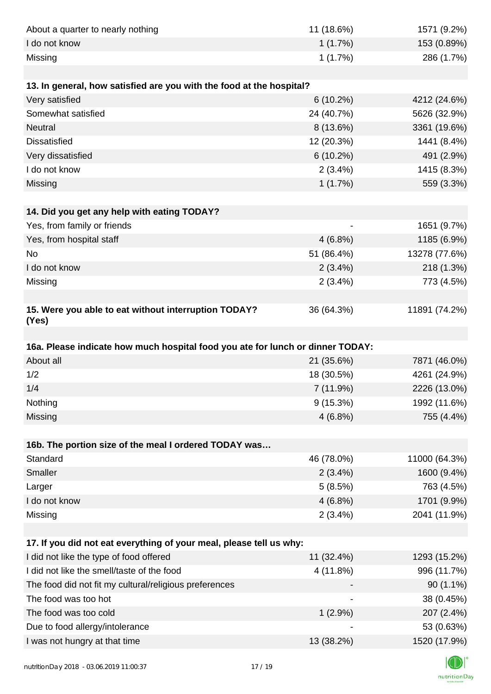| About a quarter to nearly nothing                                              | 11 (18.6%)  | 1571 (9.2%)                 |
|--------------------------------------------------------------------------------|-------------|-----------------------------|
| I do not know                                                                  | 1(1.7%)     | 153 (0.89%)                 |
| Missing                                                                        | 1(1.7%)     | 286 (1.7%)                  |
|                                                                                |             |                             |
| 13. In general, how satisfied are you with the food at the hospital?           |             |                             |
| Very satisfied                                                                 | $6(10.2\%)$ | 4212 (24.6%)                |
| Somewhat satisfied                                                             | 24 (40.7%)  | 5626 (32.9%)                |
| Neutral                                                                        | 8 (13.6%)   | 3361 (19.6%)                |
| <b>Dissatisfied</b>                                                            | 12 (20.3%)  | 1441 (8.4%)                 |
| Very dissatisfied                                                              | $6(10.2\%)$ | 491 (2.9%)                  |
| I do not know                                                                  | 2(3.4%)     | 1415 (8.3%)                 |
| Missing                                                                        | 1(1.7%)     | 559 (3.3%)                  |
|                                                                                |             |                             |
| 14. Did you get any help with eating TODAY?                                    |             |                             |
| Yes, from family or friends                                                    |             | 1651 (9.7%)                 |
| Yes, from hospital staff                                                       | $4(6.8\%)$  | 1185 (6.9%)                 |
| No                                                                             | 51 (86.4%)  | 13278 (77.6%)               |
| I do not know                                                                  | 2(3.4%)     | 218 (1.3%)                  |
| Missing                                                                        | 2(3.4%)     | 773 (4.5%)                  |
|                                                                                |             |                             |
| 15. Were you able to eat without interruption TODAY?<br>(Yes)                  | 36 (64.3%)  | 11891 (74.2%)               |
|                                                                                |             |                             |
|                                                                                |             |                             |
| 16a. Please indicate how much hospital food you ate for lunch or dinner TODAY: |             |                             |
| About all                                                                      | 21 (35.6%)  | 7871 (46.0%)                |
| 1/2                                                                            | 18 (30.5%)  | 4261 (24.9%)                |
| 1/4                                                                            | 7 (11.9%)   | 2226 (13.0%)                |
| Nothing                                                                        | $9(15.3\%)$ | 1992 (11.6%)                |
| Missing                                                                        | $4(6.8\%)$  | 755 (4.4%)                  |
|                                                                                |             |                             |
| 16b. The portion size of the meal I ordered TODAY was                          |             |                             |
| Standard                                                                       | 46 (78.0%)  | 11000 (64.3%)               |
| Smaller                                                                        | $2(3.4\%)$  | 1600 (9.4%)                 |
| Larger                                                                         | 5(8.5%)     | 763 (4.5%)                  |
| I do not know                                                                  | 4(6.8%)     | 1701 (9.9%)                 |
| Missing                                                                        | 2(3.4%)     | 2041 (11.9%)                |
|                                                                                |             |                             |
| 17. If you did not eat everything of your meal, please tell us why:            |             |                             |
| I did not like the type of food offered                                        | 11 (32.4%)  |                             |
| I did not like the smell/taste of the food                                     | 4 (11.8%)   | 1293 (15.2%)<br>996 (11.7%) |
| The food did not fit my cultural/religious preferences                         |             | $90(1.1\%)$                 |
| The food was too hot                                                           |             | 38 (0.45%)                  |
| The food was too cold                                                          | $1(2.9\%)$  | 207 (2.4%)                  |
| Due to food allergy/intolerance<br>I was not hungry at that time               | 13 (38.2%)  | 53 (0.63%)<br>1520 (17.9%)  |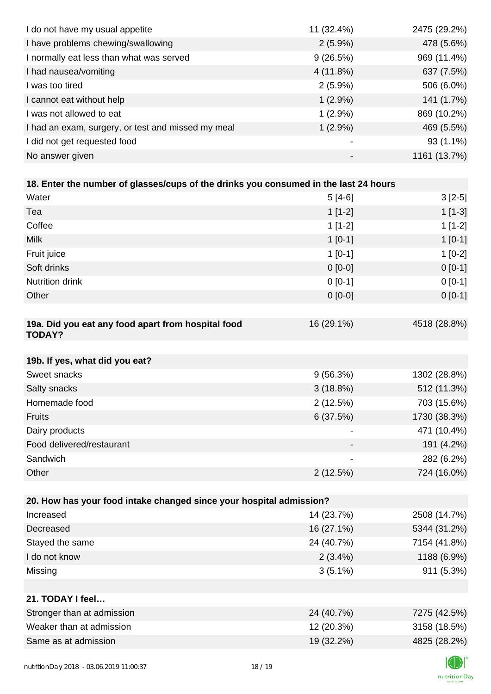| I do not have my usual appetite                                                      | 11 (32.4%)  | 2475 (29.2%) |
|--------------------------------------------------------------------------------------|-------------|--------------|
| I have problems chewing/swallowing                                                   | $2(5.9\%)$  | 478 (5.6%)   |
| I normally eat less than what was served                                             | 9(26.5%)    | 969 (11.4%)  |
| I had nausea/vomiting                                                                | 4(11.8%)    | 637 (7.5%)   |
| I was too tired                                                                      | $2(5.9\%)$  | 506 (6.0%)   |
| I cannot eat without help                                                            | $1(2.9\%)$  | 141 (1.7%)   |
| I was not allowed to eat                                                             | $1(2.9\%)$  | 869 (10.2%)  |
| I had an exam, surgery, or test and missed my meal                                   | $1(2.9\%)$  | 469 (5.5%)   |
| I did not get requested food                                                         |             | 93 (1.1%)    |
| No answer given                                                                      |             | 1161 (13.7%) |
|                                                                                      |             |              |
| 18. Enter the number of glasses/cups of the drinks you consumed in the last 24 hours |             |              |
| Water                                                                                | $5[4-6]$    | $3[2-5]$     |
| Tea                                                                                  | $1[1-2]$    | $1[1-3]$     |
| Coffee                                                                               | $1[1-2]$    | $1[1-2]$     |
| <b>Milk</b>                                                                          | $1[0-1]$    | $1[0-1]$     |
| Fruit juice                                                                          | $1[0-1]$    | $1[0-2]$     |
| Soft drinks                                                                          | $0[0-0]$    | $0 [0-1]$    |
| Nutrition drink                                                                      | $0 [0-1]$   | $0 [0-1]$    |
| Other                                                                                | $0[0-0]$    | $0 [0-1]$    |
|                                                                                      |             |              |
| 19a. Did you eat any food apart from hospital food<br><b>TODAY?</b>                  | 16 (29.1%)  | 4518 (28.8%) |
| 19b. If yes, what did you eat?                                                       |             |              |
| Sweet snacks                                                                         | 9(56.3%)    | 1302 (28.8%) |
| Salty snacks                                                                         | $3(18.8\%)$ | 512 (11.3%)  |
| Homemade food                                                                        | 2(12.5%)    | 703 (15.6%)  |
| <b>Fruits</b>                                                                        | 6(37.5%)    | 1730 (38.3%) |
| Dairy products                                                                       |             | 471 (10.4%)  |
| Food delivered/restaurant                                                            |             | 191 (4.2%)   |
| Sandwich                                                                             |             | 282 (6.2%)   |
| Other                                                                                | 2(12.5%)    | 724 (16.0%)  |
|                                                                                      |             |              |
| 20. How has your food intake changed since your hospital admission?                  |             |              |
| Increased                                                                            | 14 (23.7%)  | 2508 (14.7%) |
| Decreased                                                                            | 16 (27.1%)  | 5344 (31.2%) |
| Stayed the same                                                                      | 24 (40.7%)  | 7154 (41.8%) |
| I do not know                                                                        | $2(3.4\%)$  | 1188 (6.9%)  |
| Missing                                                                              | $3(5.1\%)$  | 911 (5.3%)   |
|                                                                                      |             |              |
| 21. TODAY I feel                                                                     |             |              |
| Stronger than at admission                                                           | 24 (40.7%)  | 7275 (42.5%) |
| Weaker than at admission                                                             | 12 (20.3%)  | 3158 (18.5%) |
| Same as at admission                                                                 | 19 (32.2%)  | 4825 (28.2%) |
|                                                                                      |             |              |